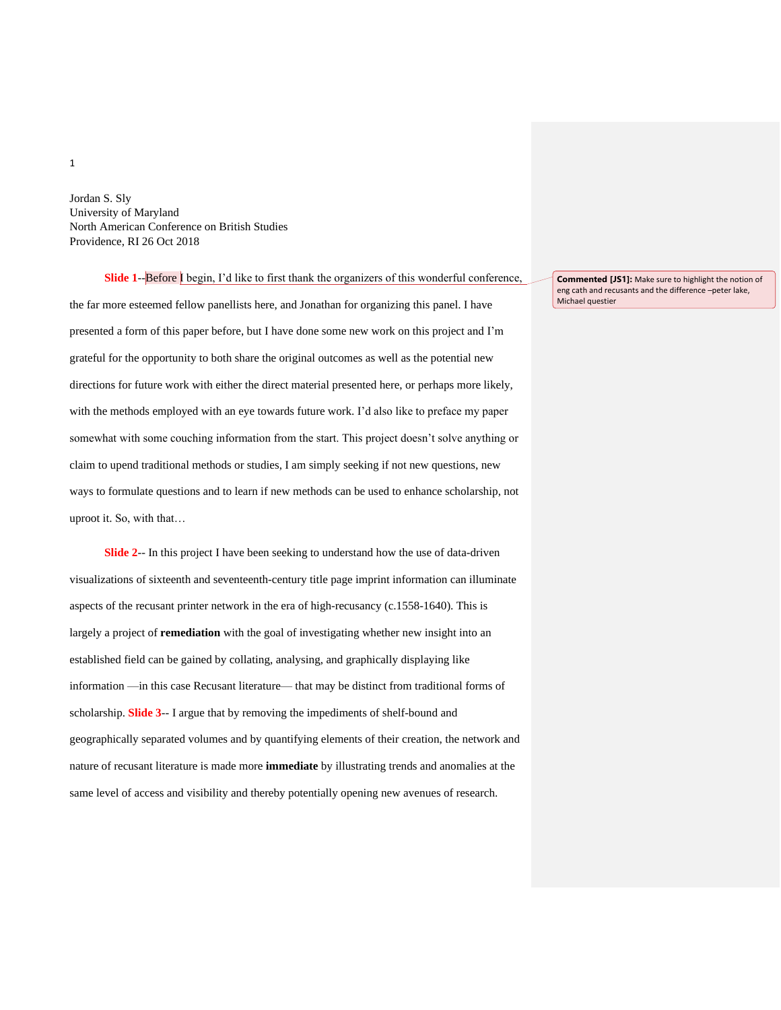Jordan S. Sly University of Maryland North American Conference on British Studies Providence, RI 26 Oct 2018

**Slide 1--Before** I begin, I'd like to first thank the organizers of this wonderful conference, the far more esteemed fellow panellists here, and Jonathan for organizing this panel. I have presented a form of this paper before, but I have done some new work on this project and I'm grateful for the opportunity to both share the original outcomes as well as the potential new directions for future work with either the direct material presented here, or perhaps more likely, with the methods employed with an eye towards future work. I'd also like to preface my paper somewhat with some couching information from the start. This project doesn't solve anything or claim to upend traditional methods or studies, I am simply seeking if not new questions, new ways to formulate questions and to learn if new methods can be used to enhance scholarship, not uproot it. So, with that…

**Slide 2**-- In this project I have been seeking to understand how the use of data-driven visualizations of sixteenth and seventeenth-century title page imprint information can illuminate aspects of the recusant printer network in the era of high-recusancy (c.1558-1640). This is largely a project of **remediation** with the goal of investigating whether new insight into an established field can be gained by collating, analysing, and graphically displaying like information —in this case Recusant literature— that may be distinct from traditional forms of scholarship. **Slide 3**-- I argue that by removing the impediments of shelf-bound and geographically separated volumes and by quantifying elements of their creation, the network and nature of recusant literature is made more **immediate** by illustrating trends and anomalies at the same level of access and visibility and thereby potentially opening new avenues of research.

**Commented [JS1]:** Make sure to highlight the notion of eng cath and recusants and the difference –peter lake, Michael questier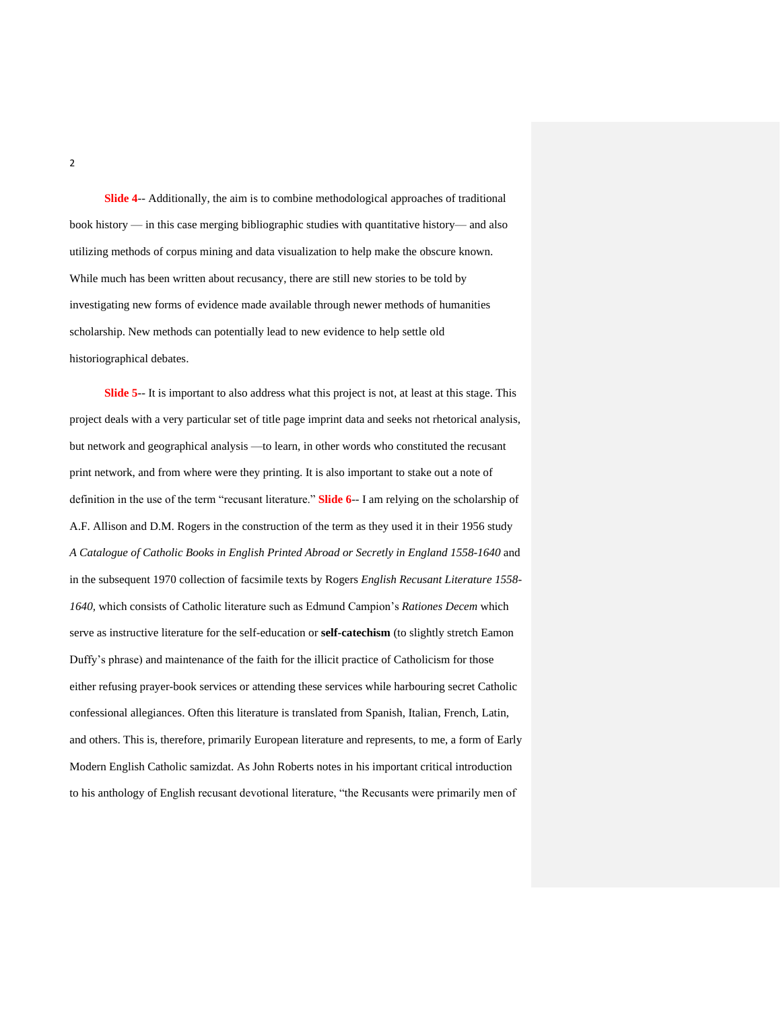**Slide 4**-- Additionally, the aim is to combine methodological approaches of traditional book history — in this case merging bibliographic studies with quantitative history— and also utilizing methods of corpus mining and data visualization to help make the obscure known. While much has been written about recusancy, there are still new stories to be told by investigating new forms of evidence made available through newer methods of humanities scholarship. New methods can potentially lead to new evidence to help settle old historiographical debates.

**Slide 5**-- It is important to also address what this project is not, at least at this stage. This project deals with a very particular set of title page imprint data and seeks not rhetorical analysis, but network and geographical analysis —to learn, in other words who constituted the recusant print network, and from where were they printing. It is also important to stake out a note of definition in the use of the term "recusant literature." **Slide 6**-- I am relying on the scholarship of A.F. Allison and D.M. Rogers in the construction of the term as they used it in their 1956 study *A Catalogue of Catholic Books in English Printed Abroad or Secretly in England 1558-1640* and in the subsequent 1970 collection of facsimile texts by Rogers *English Recusant Literature 1558- 1640,* which consists of Catholic literature such as Edmund Campion's *Rationes Decem* which serve as instructive literature for the self-education or **self-catechism** (to slightly stretch Eamon Duffy's phrase) and maintenance of the faith for the illicit practice of Catholicism for those either refusing prayer-book services or attending these services while harbouring secret Catholic confessional allegiances. Often this literature is translated from Spanish, Italian, French, Latin, and others. This is, therefore, primarily European literature and represents, to me, a form of Early Modern English Catholic samizdat. As John Roberts notes in his important critical introduction to his anthology of English recusant devotional literature, "the Recusants were primarily men of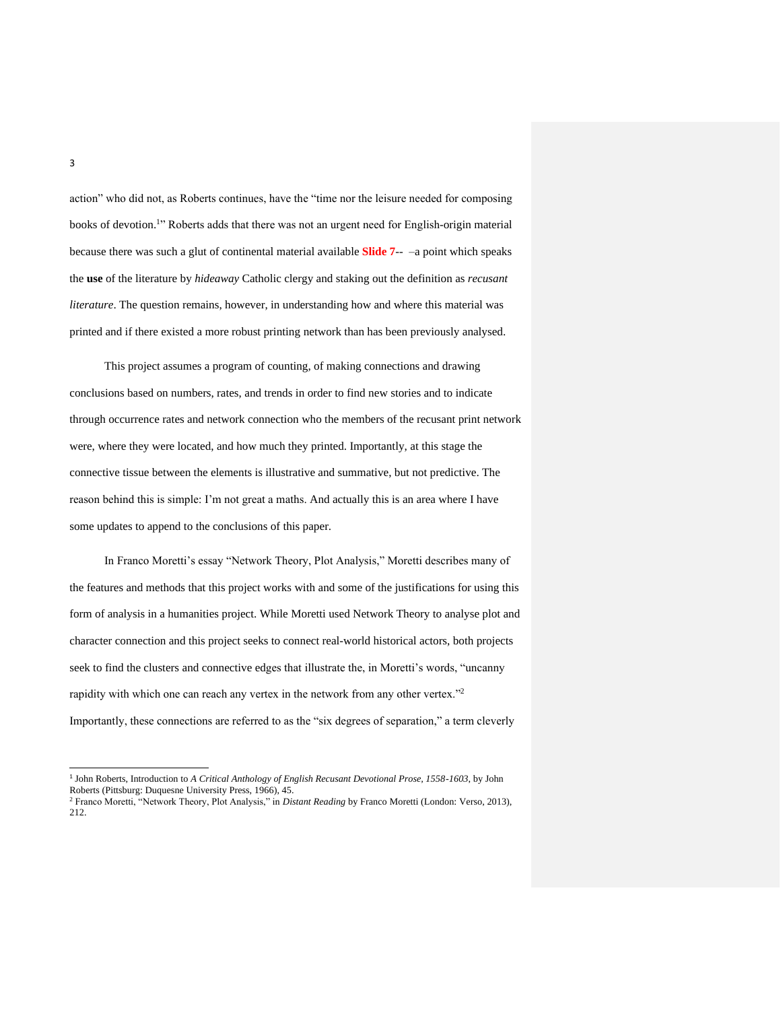action" who did not, as Roberts continues, have the "time nor the leisure needed for composing books of devotion.<sup>1</sup>" Roberts adds that there was not an urgent need for English-origin material because there was such a glut of continental material available **Slide 7**-- –a point which speaks the **use** of the literature by *hideaway* Catholic clergy and staking out the definition as *recusant literature*. The question remains, however, in understanding how and where this material was printed and if there existed a more robust printing network than has been previously analysed.

This project assumes a program of counting, of making connections and drawing conclusions based on numbers, rates, and trends in order to find new stories and to indicate through occurrence rates and network connection who the members of the recusant print network were, where they were located, and how much they printed. Importantly, at this stage the connective tissue between the elements is illustrative and summative, but not predictive. The reason behind this is simple: I'm not great a maths. And actually this is an area where I have some updates to append to the conclusions of this paper.

In Franco Moretti's essay "Network Theory, Plot Analysis," Moretti describes many of the features and methods that this project works with and some of the justifications for using this form of analysis in a humanities project. While Moretti used Network Theory to analyse plot and character connection and this project seeks to connect real-world historical actors, both projects seek to find the clusters and connective edges that illustrate the, in Moretti's words, "uncanny rapidity with which one can reach any vertex in the network from any other vertex."<sup>2</sup> Importantly, these connections are referred to as the "six degrees of separation," a term cleverly

<sup>1</sup> John Roberts, Introduction to *A Critical Anthology of English Recusant Devotional Prose, 1558-1603*, by John Roberts (Pittsburg: Duquesne University Press, 1966), 45.

<sup>2</sup> Franco Moretti, "Network Theory, Plot Analysis," in *Distant Reading* by Franco Moretti (London: Verso, 2013), 212.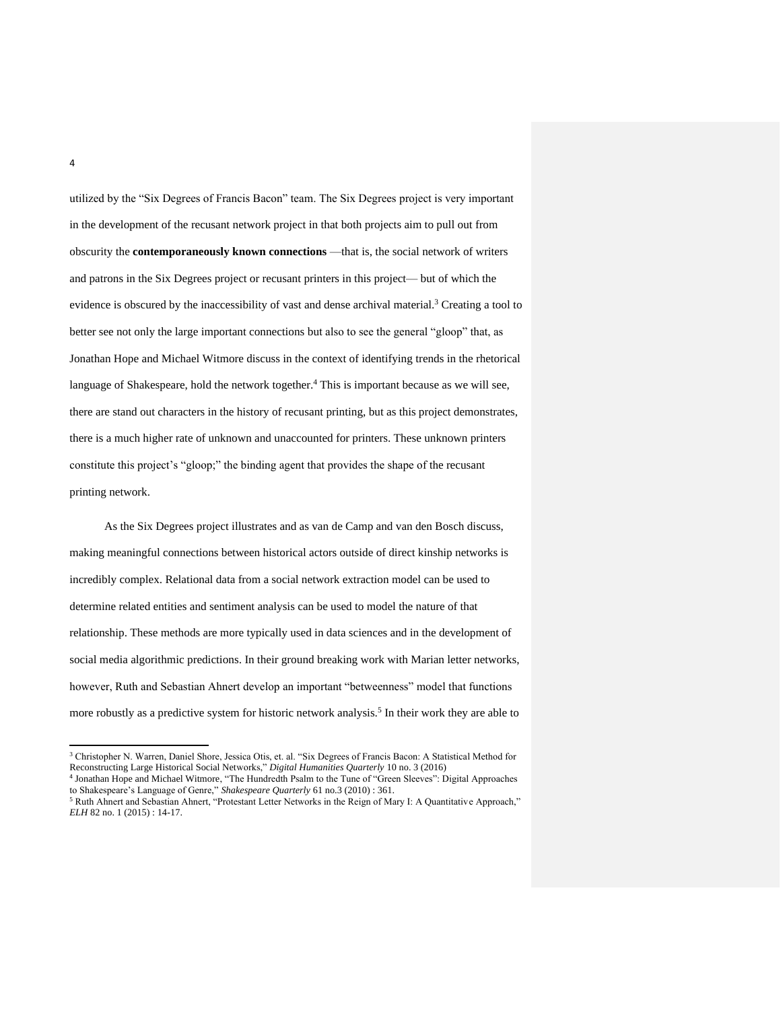utilized by the "Six Degrees of Francis Bacon" team. The Six Degrees project is very important in the development of the recusant network project in that both projects aim to pull out from obscurity the **contemporaneously known connections** —that is, the social network of writers and patrons in the Six Degrees project or recusant printers in this project— but of which the evidence is obscured by the inaccessibility of vast and dense archival material.<sup>3</sup> Creating a tool to better see not only the large important connections but also to see the general "gloop" that, as Jonathan Hope and Michael Witmore discuss in the context of identifying trends in the rhetorical language of Shakespeare, hold the network together.<sup>4</sup> This is important because as we will see, there are stand out characters in the history of recusant printing, but as this project demonstrates, there is a much higher rate of unknown and unaccounted for printers. These unknown printers constitute this project's "gloop;" the binding agent that provides the shape of the recusant printing network.

As the Six Degrees project illustrates and as van de Camp and van den Bosch discuss, making meaningful connections between historical actors outside of direct kinship networks is incredibly complex. Relational data from a social network extraction model can be used to determine related entities and sentiment analysis can be used to model the nature of that relationship. These methods are more typically used in data sciences and in the development of social media algorithmic predictions. In their ground breaking work with Marian letter networks, however, Ruth and Sebastian Ahnert develop an important "betweenness" model that functions more robustly as a predictive system for historic network analysis.<sup>5</sup> In their work they are able to

<sup>3</sup> Christopher N. Warren, Daniel Shore, Jessica Otis, et. al. "Six Degrees of Francis Bacon: A Statistical Method for Reconstructing Large Historical Social Networks," *Digital Humanities Quarterly* 10 no. 3 (2016)

<sup>4</sup> Jonathan Hope and Michael Witmore, "The Hundredth Psalm to the Tune of "Green Sleeves": Digital Approaches to Shakespeare's Language of Genre," *Shakespeare Quarterly* 61 no.3 (2010) : 361.

<sup>&</sup>lt;sup>5</sup> Ruth Ahnert and Sebastian Ahnert, "Protestant Letter Networks in the Reign of Mary I: A Quantitative Approach," *ELH* 82 no. 1 (2015) : 14-17.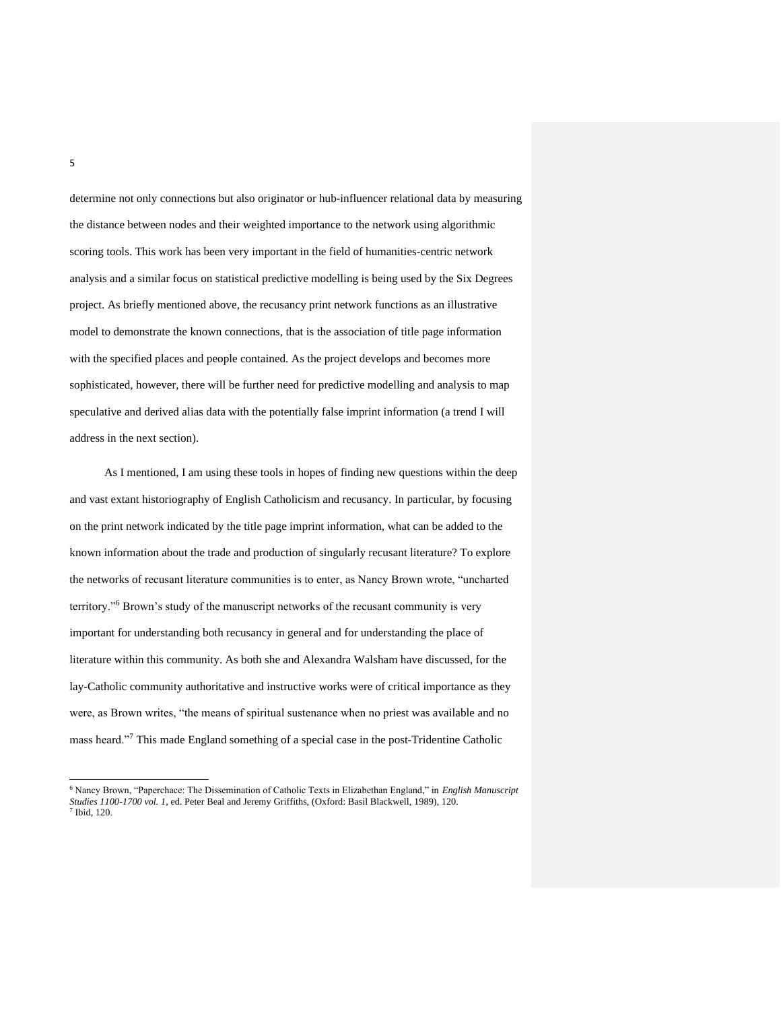determine not only connections but also originator or hub-influencer relational data by measuring the distance between nodes and their weighted importance to the network using algorithmic scoring tools. This work has been very important in the field of humanities-centric network analysis and a similar focus on statistical predictive modelling is being used by the Six Degrees project. As briefly mentioned above, the recusancy print network functions as an illustrative model to demonstrate the known connections, that is the association of title page information with the specified places and people contained. As the project develops and becomes more sophisticated, however, there will be further need for predictive modelling and analysis to map speculative and derived alias data with the potentially false imprint information (a trend I will address in the next section).

As I mentioned, I am using these tools in hopes of finding new questions within the deep and vast extant historiography of English Catholicism and recusancy. In particular, by focusing on the print network indicated by the title page imprint information, what can be added to the known information about the trade and production of singularly recusant literature? To explore the networks of recusant literature communities is to enter, as Nancy Brown wrote, "uncharted territory."<sup>6</sup> Brown's study of the manuscript networks of the recusant community is very important for understanding both recusancy in general and for understanding the place of literature within this community. As both she and Alexandra Walsham have discussed, for the lay-Catholic community authoritative and instructive works were of critical importance as they were, as Brown writes, "the means of spiritual sustenance when no priest was available and no mass heard."<sup>7</sup> This made England something of a special case in the post-Tridentine Catholic

<sup>6</sup> Nancy Brown, "Paperchace: The Dissemination of Catholic Texts in Elizabethan England," in *English Manuscript Studies 1100-1700 vol. 1*, ed. Peter Beal and Jeremy Griffiths, (Oxford: Basil Blackwell, 1989), 120. 7 Ibid, 120.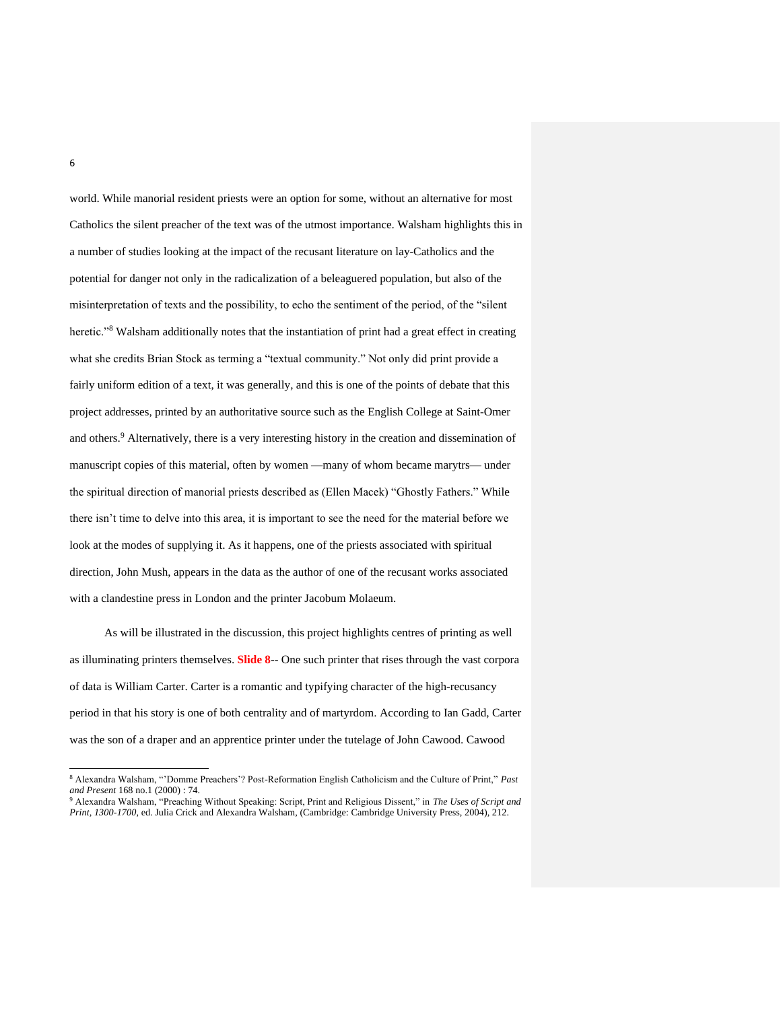world. While manorial resident priests were an option for some, without an alternative for most Catholics the silent preacher of the text was of the utmost importance. Walsham highlights this in a number of studies looking at the impact of the recusant literature on lay-Catholics and the potential for danger not only in the radicalization of a beleaguered population, but also of the misinterpretation of texts and the possibility, to echo the sentiment of the period, of the "silent heretic."<sup>8</sup> Walsham additionally notes that the instantiation of print had a great effect in creating what she credits Brian Stock as terming a "textual community." Not only did print provide a fairly uniform edition of a text, it was generally, and this is one of the points of debate that this project addresses, printed by an authoritative source such as the English College at Saint-Omer and others.<sup>9</sup> Alternatively, there is a very interesting history in the creation and dissemination of manuscript copies of this material, often by women —many of whom became marytrs— under the spiritual direction of manorial priests described as (Ellen Macek) "Ghostly Fathers." While there isn't time to delve into this area, it is important to see the need for the material before we look at the modes of supplying it. As it happens, one of the priests associated with spiritual direction, John Mush, appears in the data as the author of one of the recusant works associated with a clandestine press in London and the printer Jacobum Molaeum.

As will be illustrated in the discussion, this project highlights centres of printing as well as illuminating printers themselves. **Slide 8**-- One such printer that rises through the vast corpora of data is William Carter. Carter is a romantic and typifying character of the high-recusancy period in that his story is one of both centrality and of martyrdom. According to Ian Gadd, Carter was the son of a draper and an apprentice printer under the tutelage of John Cawood. Cawood

<sup>8</sup> Alexandra Walsham, "'Domme Preachers'? Post-Reformation English Catholicism and the Culture of Print," *Past and Present* 168 no.1 (2000) : 74.

<sup>9</sup> Alexandra Walsham, "Preaching Without Speaking: Script, Print and Religious Dissent," in *The Uses of Script and Print, 1300-1700*, ed. Julia Crick and Alexandra Walsham, (Cambridge: Cambridge University Press, 2004), 212.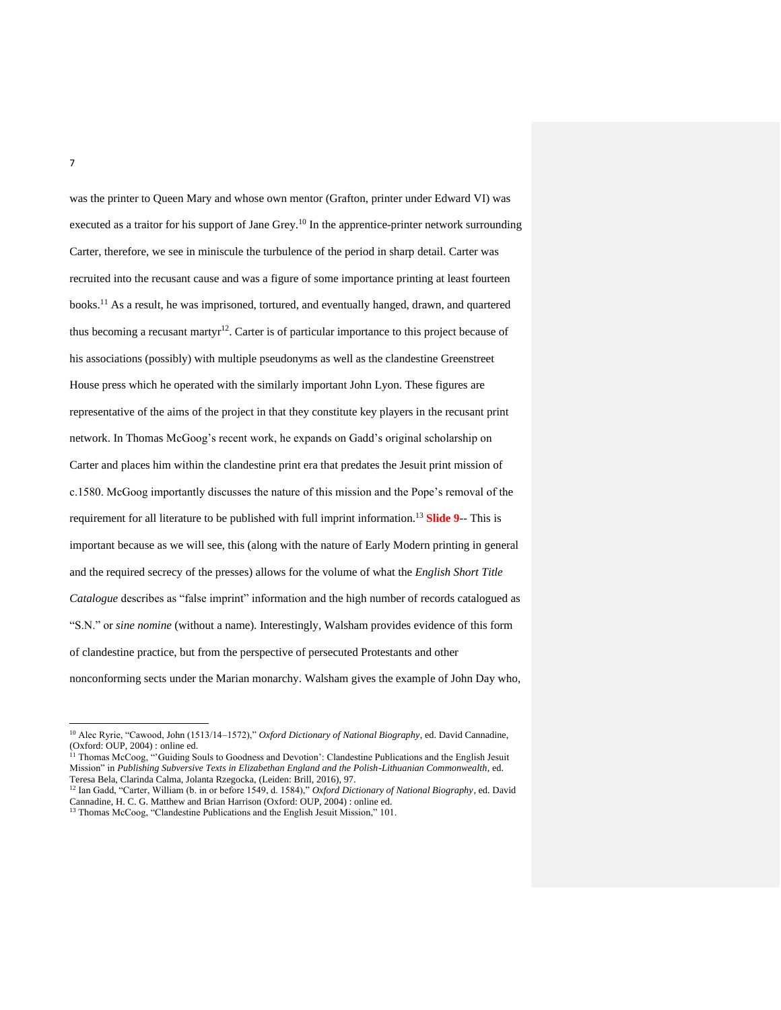was the printer to Queen Mary and whose own mentor (Grafton, printer under Edward VI) was executed as a traitor for his support of Jane Grey.<sup>10</sup> In the apprentice-printer network surrounding Carter, therefore, we see in miniscule the turbulence of the period in sharp detail. Carter was recruited into the recusant cause and was a figure of some importance printing at least fourteen books.<sup>11</sup> As a result, he was imprisoned, tortured, and eventually hanged, drawn, and quartered thus becoming a recusant martyr<sup>12</sup>. Carter is of particular importance to this project because of his associations (possibly) with multiple pseudonyms as well as the clandestine Greenstreet House press which he operated with the similarly important John Lyon. These figures are representative of the aims of the project in that they constitute key players in the recusant print network. In Thomas McGoog's recent work, he expands on Gadd's original scholarship on Carter and places him within the clandestine print era that predates the Jesuit print mission of c.1580. McGoog importantly discusses the nature of this mission and the Pope's removal of the requirement for all literature to be published with full imprint information.<sup>13</sup> **Slide 9**-- This is important because as we will see, this (along with the nature of Early Modern printing in general and the required secrecy of the presses) allows for the volume of what the *English Short Title Catalogue* describes as "false imprint" information and the high number of records catalogued as "S.N." or *sine nomine* (without a name). Interestingly, Walsham provides evidence of this form of clandestine practice, but from the perspective of persecuted Protestants and other nonconforming sects under the Marian monarchy. Walsham gives the example of John Day who,

<sup>13</sup> Thomas McCoog, "Clandestine Publications and the English Jesuit Mission," 101.

<sup>10</sup> Alec Ryrie, "Cawood, John (1513/14–1572)," *Oxford Dictionary of National Biography*, ed. David Cannadine, (Oxford: OUP, 2004) : online ed.

<sup>&</sup>lt;sup>11</sup> Thomas McCoog, "'Guiding Souls to Goodness and Devotion': Clandestine Publications and the English Jesuit Mission" in *Publishing Subversive Texts in Elizabethan England and the Polish-Lithuanian Commonwealth*, ed. Teresa Bela, Clarinda Calma, Jolanta Rzegocka, (Leiden: Brill, 2016), 97.

<sup>12</sup> Ian Gadd, "Carter, William (b. in or before 1549, d. 1584)," *Oxford Dictionary of National Biography*, ed. David Cannadine, H. C. G. Matthew and Brian Harrison (Oxford: OUP, 2004) : online ed.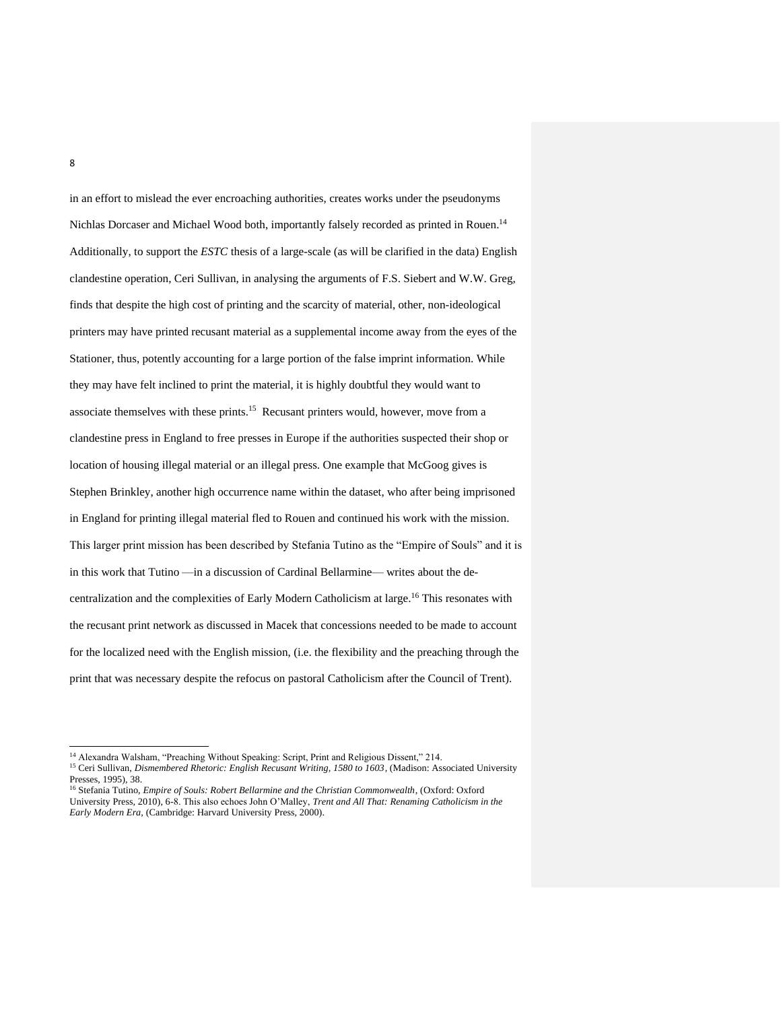in an effort to mislead the ever encroaching authorities, creates works under the pseudonyms Nichlas Dorcaser and Michael Wood both, importantly falsely recorded as printed in Rouen.<sup>14</sup> Additionally, to support the *ESTC* thesis of a large-scale (as will be clarified in the data) English clandestine operation, Ceri Sullivan, in analysing the arguments of F.S. Siebert and W.W. Greg, finds that despite the high cost of printing and the scarcity of material, other, non-ideological printers may have printed recusant material as a supplemental income away from the eyes of the Stationer, thus, potently accounting for a large portion of the false imprint information. While they may have felt inclined to print the material, it is highly doubtful they would want to associate themselves with these prints.<sup>15</sup> Recusant printers would, however, move from a clandestine press in England to free presses in Europe if the authorities suspected their shop or location of housing illegal material or an illegal press. One example that McGoog gives is Stephen Brinkley, another high occurrence name within the dataset, who after being imprisoned in England for printing illegal material fled to Rouen and continued his work with the mission. This larger print mission has been described by Stefania Tutino as the "Empire of Souls" and it is in this work that Tutino —in a discussion of Cardinal Bellarmine— writes about the decentralization and the complexities of Early Modern Catholicism at large.<sup>16</sup> This resonates with the recusant print network as discussed in Macek that concessions needed to be made to account for the localized need with the English mission, (i.e. the flexibility and the preaching through the print that was necessary despite the refocus on pastoral Catholicism after the Council of Trent).

<sup>14</sup> Alexandra Walsham, "Preaching Without Speaking: Script, Print and Religious Dissent," 214.

<sup>15</sup> Ceri Sullivan, *Dismembered Rhetoric: English Recusant Writing, 1580 to 1603*, (Madison: Associated University Presses, 1995), 38.

<sup>16</sup> Stefania Tutino, *Empire of Souls: Robert Bellarmine and the Christian Commonwealth*, (Oxford: Oxford University Press, 2010), 6-8. This also echoes John O'Malley, *Trent and All That: Renaming Catholicism in the Early Modern Era,* (Cambridge: Harvard University Press, 2000).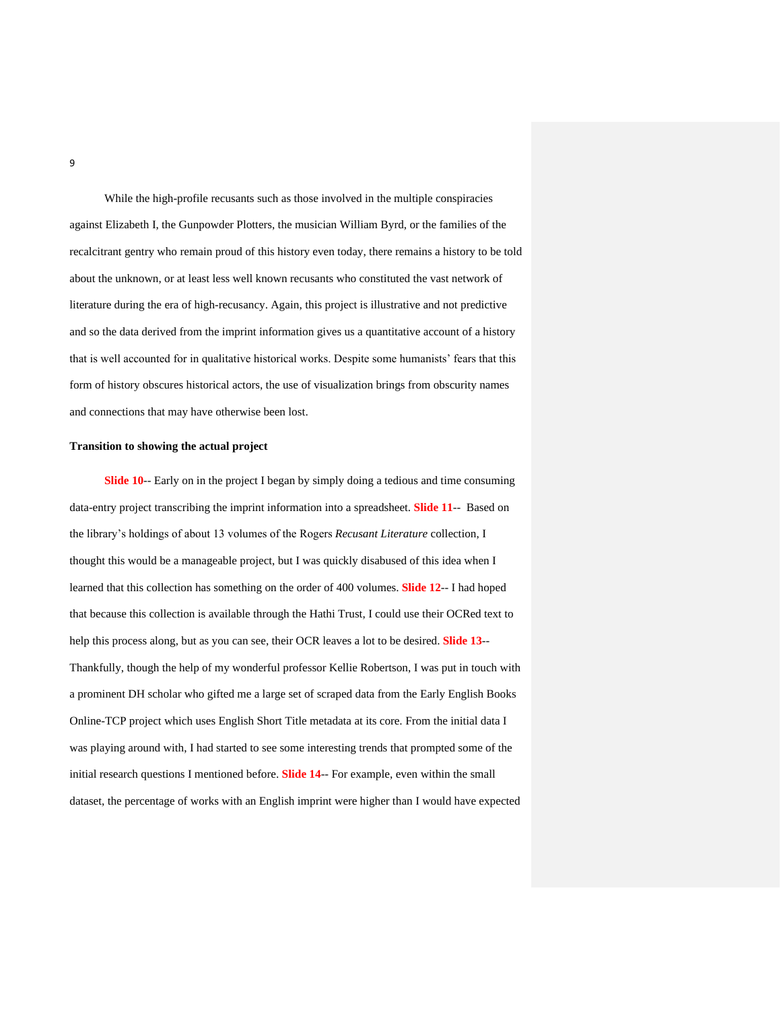While the high-profile recusants such as those involved in the multiple conspiracies against Elizabeth I, the Gunpowder Plotters, the musician William Byrd, or the families of the recalcitrant gentry who remain proud of this history even today, there remains a history to be told about the unknown, or at least less well known recusants who constituted the vast network of literature during the era of high-recusancy. Again, this project is illustrative and not predictive and so the data derived from the imprint information gives us a quantitative account of a history that is well accounted for in qualitative historical works. Despite some humanists' fears that this form of history obscures historical actors, the use of visualization brings from obscurity names and connections that may have otherwise been lost.

## **Transition to showing the actual project**

**Slide 10**-- Early on in the project I began by simply doing a tedious and time consuming data-entry project transcribing the imprint information into a spreadsheet. **Slide 11**-- Based on the library's holdings of about 13 volumes of the Rogers *Recusant Literature* collection, I thought this would be a manageable project, but I was quickly disabused of this idea when I learned that this collection has something on the order of 400 volumes. **Slide 12**-- I had hoped that because this collection is available through the Hathi Trust, I could use their OCRed text to help this process along, but as you can see, their OCR leaves a lot to be desired. **Slide 13**-- Thankfully, though the help of my wonderful professor Kellie Robertson, I was put in touch with a prominent DH scholar who gifted me a large set of scraped data from the Early English Books Online-TCP project which uses English Short Title metadata at its core. From the initial data I was playing around with, I had started to see some interesting trends that prompted some of the initial research questions I mentioned before. **Slide 14**-- For example, even within the small dataset, the percentage of works with an English imprint were higher than I would have expected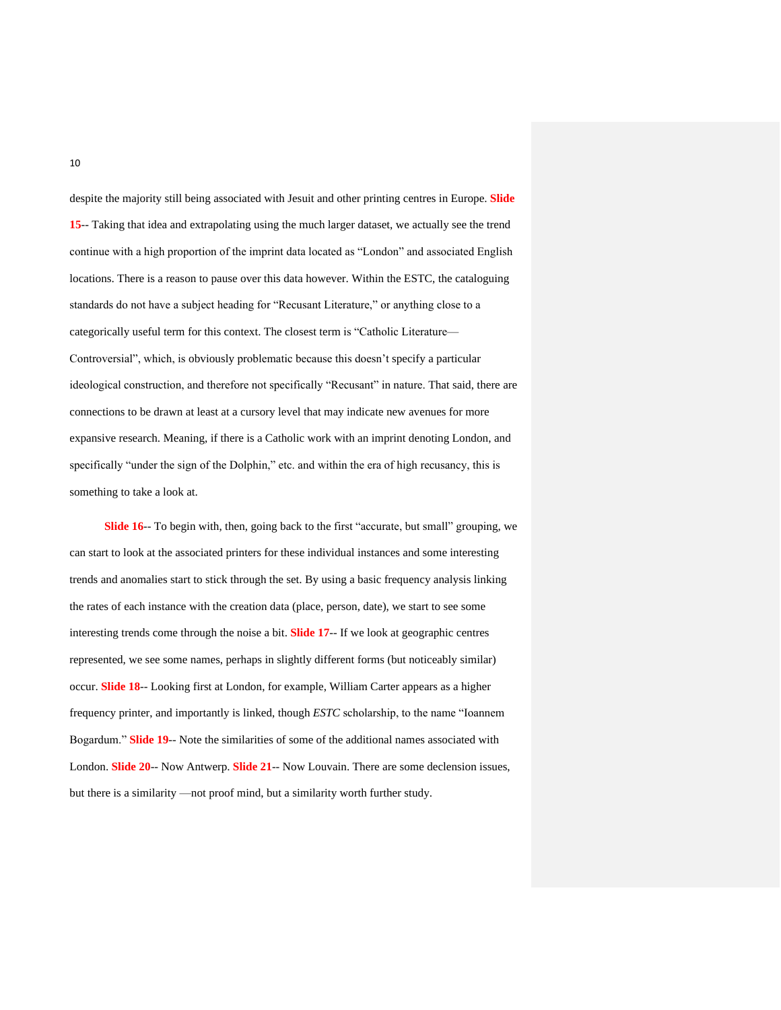despite the majority still being associated with Jesuit and other printing centres in Europe. **Slide 15**-- Taking that idea and extrapolating using the much larger dataset, we actually see the trend continue with a high proportion of the imprint data located as "London" and associated English locations. There is a reason to pause over this data however. Within the ESTC, the cataloguing standards do not have a subject heading for "Recusant Literature," or anything close to a categorically useful term for this context. The closest term is "Catholic Literature— Controversial", which, is obviously problematic because this doesn't specify a particular ideological construction, and therefore not specifically "Recusant" in nature. That said, there are connections to be drawn at least at a cursory level that may indicate new avenues for more expansive research. Meaning, if there is a Catholic work with an imprint denoting London, and specifically "under the sign of the Dolphin," etc. and within the era of high recusancy, this is something to take a look at.

**Slide 16**-- To begin with, then, going back to the first "accurate, but small" grouping, we can start to look at the associated printers for these individual instances and some interesting trends and anomalies start to stick through the set. By using a basic frequency analysis linking the rates of each instance with the creation data (place, person, date), we start to see some interesting trends come through the noise a bit. **Slide 17**-- If we look at geographic centres represented, we see some names, perhaps in slightly different forms (but noticeably similar) occur. **Slide 18**-- Looking first at London, for example, William Carter appears as a higher frequency printer, and importantly is linked, though *ESTC* scholarship, to the name "Ioannem Bogardum." **Slide 19**-- Note the similarities of some of the additional names associated with London. **Slide 20**-- Now Antwerp. **Slide 21**-- Now Louvain. There are some declension issues, but there is a similarity —not proof mind, but a similarity worth further study.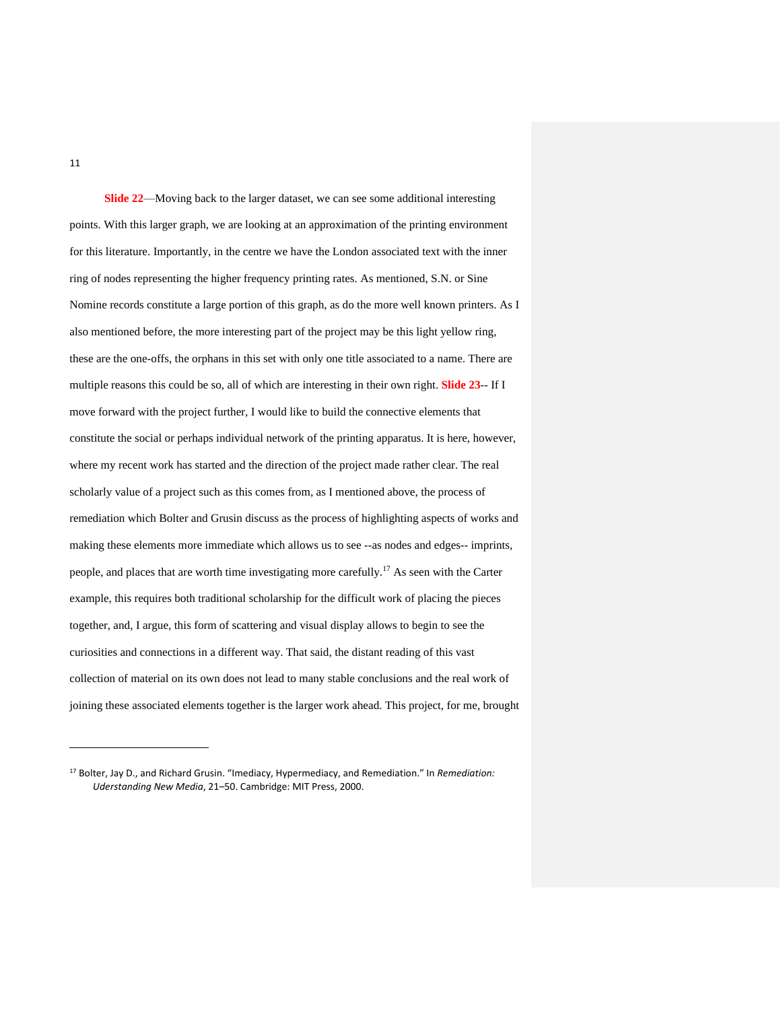**Slide 22**—Moving back to the larger dataset, we can see some additional interesting points. With this larger graph, we are looking at an approximation of the printing environment for this literature. Importantly, in the centre we have the London associated text with the inner ring of nodes representing the higher frequency printing rates. As mentioned, S.N. or Sine Nomine records constitute a large portion of this graph, as do the more well known printers. As I also mentioned before, the more interesting part of the project may be this light yellow ring, these are the one-offs, the orphans in this set with only one title associated to a name. There are multiple reasons this could be so, all of which are interesting in their own right. **Slide 23**-- If I move forward with the project further, I would like to build the connective elements that constitute the social or perhaps individual network of the printing apparatus. It is here, however, where my recent work has started and the direction of the project made rather clear. The real scholarly value of a project such as this comes from, as I mentioned above, the process of remediation which Bolter and Grusin discuss as the process of highlighting aspects of works and making these elements more immediate which allows us to see --as nodes and edges-- imprints, people, and places that are worth time investigating more carefully.<sup>17</sup> As seen with the Carter example, this requires both traditional scholarship for the difficult work of placing the pieces together, and, I argue, this form of scattering and visual display allows to begin to see the curiosities and connections in a different way. That said, the distant reading of this vast collection of material on its own does not lead to many stable conclusions and the real work of joining these associated elements together is the larger work ahead. This project, for me, brought

<sup>17</sup> Bolter, Jay D., and Richard Grusin. "Imediacy, Hypermediacy, and Remediation." In *Remediation: Uderstanding New Media*, 21–50. Cambridge: MIT Press, 2000.